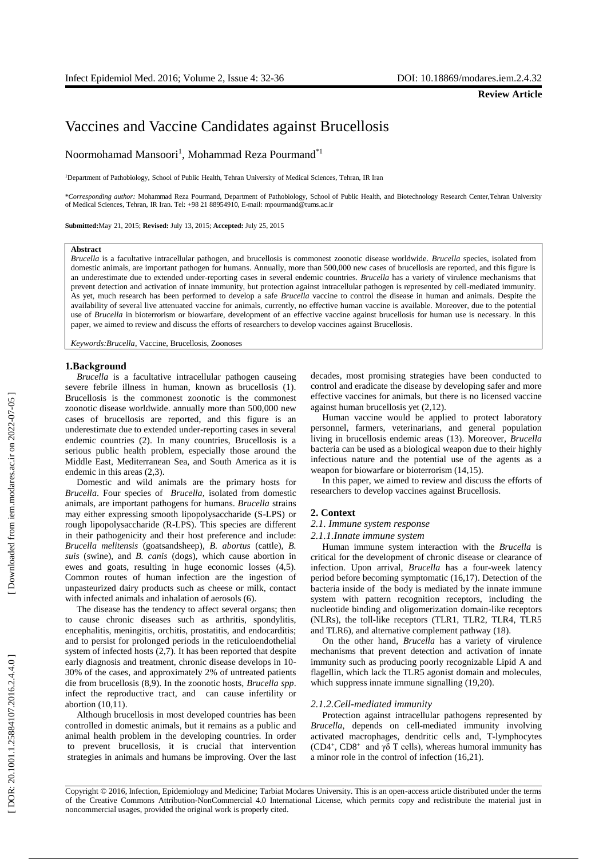**Review Article**

Noormohamad Mansoori 1 , Mohammad Reza Pourmand \* 1

<sup>1</sup>Department of Pathobiology, School of Public Health, Tehran University of Medical Sciences, Tehran, IR Iran

\**Corresponding author:* Mohammad Reza Pourmand, Department of Pathobiology, School of Public Health, and Biotechnology Research Center,Tehran University of Medical Sciences, Tehran, IR Iran. Tel: +98 21 88954910, E -mail: mpourmand@tums.ac.ir

**Submitted:**May 21, 2015; **Revised:** July 13, 201 5; **Accepted:** July 25, 201 5

## **Abstract**

*Brucella* is a facultative intracellular pathogen, and brucellosis is commonest zoonotic disease worldwide. *Brucella* species, isolated from domestic animals, are important pathogen for humans. Annually, more than 500,000 new cases of brucellosis are reported, and this figure is an underestimate due to extended under-reporting cases in several endemic countries. *Brucella* has a variety of virulence mechanisms that prevent detection and activation of innate immunity, but protection against intracellular pathogen is represented by cell -mediated immunity. As yet, much research has been performed to develop a safe *Brucella* vaccine to control the disease in human and animals. Despite the availability of several live attenuated vaccine for animals, currently, no effective human vaccine is available. Moreover, due to the potential use of *Brucella* in bioterrorism or biowarfare, development of an effective vaccine against brucellosis for human use is necessary. In this paper, we aimed to review and discuss the efforts of researchers to develop vaccines against Brucellosis.

*Keywords:Brucella* , Vaccine, Brucellosis, Zoonoses

#### **1.Background**

*Brucella* is a facultative intracellular pathogen causeing severe febrile illness in human, known as brucellosis (1). Brucellosis is the commonest zoonotic is the commonest zoonotic disease worldwide . annually more than 500,000 new cases of brucellosis are reported, and this figure is an underestimate due to extended under -reporting cases in several endemic countries (2). In many countries, Brucellosis is a serious public health problem, especially those around the Middle East, Mediterranean Sea, and South America as it is endemic in this areas (2,3).

Vaccines and Vaccine Candidates against Brucellosis<br>Noormohannal Mansoon<sup>1</sup>, Mohannmal Reza Pourmand<sup>11</sup><br>Popume of the<br>interactions, Sohon a Man metals them, then there is a contradict store, Them, It has<br>the original wor Domestic and wild animals are the primary hosts for *Brucella*. Four species of *Brucella,* isolated from domestic animals, are important pathogens for humans. *Brucella* strains may either expressing smooth lipopolysaccharide (S -LPS) or rough lipopolysaccharide (R -LPS). This species are different in their pathogenicity and their host preference and include: *Brucella melitensis* (goatsandsheep), *B. abortus* (cattle), *B. suis* (swine), and *B. canis* (dogs), which cause abortion in ewes and goats, resulting in huge economic losses (4,5). Common routes of human infection are the ingestion of unpasteurized dairy products such as cheese or milk, contact with infected animals and inhalation of aerosols (6).

The disease has the tendency to affect several organs; then to cause chronic diseases such as arthritis, spondylitis, encephalitis, meningitis, orchitis, prostatitis, and endocarditis; and to persist for prolonged periods in the reticuloendothelial system of infected hosts (2,7). It has been reported that despite early diagnosis and treatment, chronic disease develops in 10-30% of the cases, and approximately 2% of untreated patients die from brucellosis (8,9). In the zoonotic hosts, *Brucella spp*. infect the reproductive tract, and can cause infertility or abortion (10,11).

Although brucellosis in most developed countries has been controlled in domestic animals, but it remains as a public and animal health problem in the developing countries. In order to prevent brucellosis, it is crucial that intervention strategies in animals and humans be improving. Over the last decades, most promising strategies have been conducted to control and eradicate the disease by developing safer and more effective vaccines for animals, but there is no licensed vaccine against human brucellosis yet (2,12).

Human vaccine would be applied to protect laboratory personnel, farmers, veterinarians , and general population living in brucellosis endemic areas (13). Moreover, *Brucella* bacteria can be used as a biological weapon due to their highly infectious nature and the potential use of the agents as a weapon for biowarfare or bioterrorism (14,15).

In this paper, we aimed to review and discuss the efforts of researchers to develop vaccines against Brucellosis.

# **2. Context**

# *2.1. Immune system response*

## *2.1.1 .Innate immune system*

Human immune system interaction with the *Brucella* is critical for the development of chronic disease or clearance of infection. Upon arrival , *Brucella* has a four -week latency period before becoming symptomatic (16,17). Detection of the bacteria inside of the body is mediated by the innate immune system with pattern recognition receptors, including the nucleotide binding and oligomerization domain -like receptors (NLRs), the toll-like receptors (TLR1, TLR2, TLR4, TLR5 and TLR6), and alternative complement pathway (18).

On the other hand , *Brucella* has a variety of virulence mechanisms that prevent detection and activation of innate immunity such as producing poorly recognizable Lipid A and flagellin, which lack the TLR5 agonist domain and molecules, which suppress innate immune signalling (19,20).

## *2.1.2 .Cell -mediated immunity*

Protection against intracellular pathogen s represented by *Brucella*, depends on cell -mediated immunity involving activated macrophages, dendritic cells and , T -lymphocytes (CD4<sup>+</sup>, CD8<sup>+</sup> and  $\gamma\delta$  T cells), whereas humoral immunity has a minor role in the control of infection (16,21).

Copyright © 2016, Infection, Epidemiology and Medicine; Tarbiat Modares University. This is an open -access article distributed under the terms of the Creative Commons Attribution -NonCommercial 4.0 International License, which permits copy and redistribute the material just in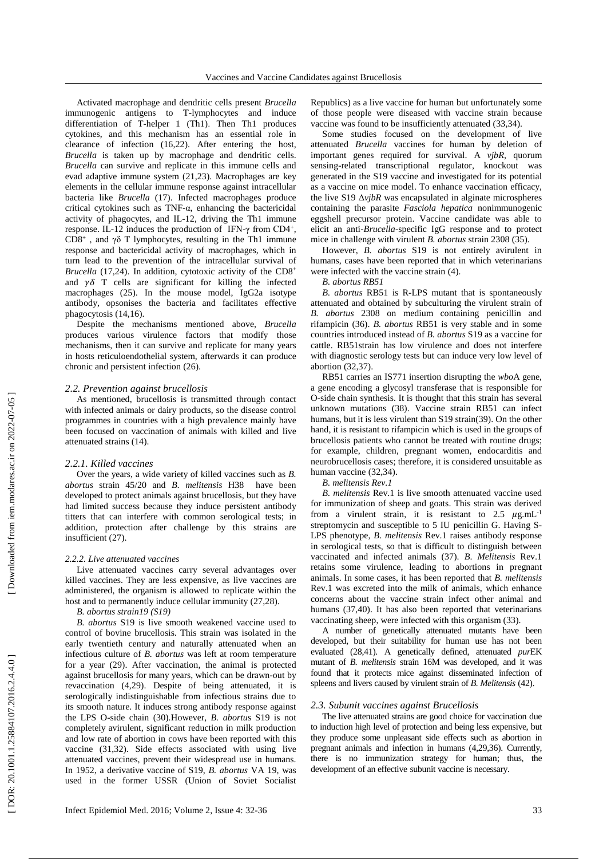Activated macrophage and dendritic cells present *Brucella* immunogenic antigens to T -lymphocytes and induce differentiation of T-helper 1 (Th1). Then Th1 produces cytokines , and this mechanism has an essential role in clearance of infection (16,22). After entering the host, *Brucella* is taken up by macrophage and dendritic cells. *Brucella* can survive and replicate in this immune cells and evad adaptive immune system (21,23). Macrophages are key elements in the cellular immune response against intracellular bacteria like *Brucella* (17) . Infected macrophages produce critical cytokines such as TNF - α , enhancing the bactericidal activity of phagocytes, and IL -12 , driving the Th1 immune response. IL-12 induces the production of IFN- $\gamma$  from CD4<sup>+</sup>, CD8<sup>+</sup>, and  $\gamma\delta$  T lymphocytes, resulting in the Th1 immune response and bactericidal activity of macrophages , which in turn lead to the prevention of the intracellular survival of Brucella (17,24). In addition, cytotoxic activity of the CD8<sup>+</sup> and  $\gamma\delta$  T cells are significant for killing the infected macrophages (25 ) . In the mouse model , IgG2a isotype antibody , opsonises the bacteria and facilitate s effective phagocytosis (14,16).

Despite the mechanisms mentioned above , *Brucella* produces various virulence factors that modify those mechanisms, then it can survive and replicate for many years in hosts reticuloendothelial system , afterwards it can produc e chronic and persistent infection (26).

## *2. 2. Prevention against brucellosis*

As mentioned, brucellosis is transmitted through contact with infected animals or dairy products, so the disease control programmes in countries with a high prevalence mainly have been focused on vaccination of animals with killed and live attenuated strains (14).

## *2.2.1. Killed vaccines*

Over the years, a wide variety of killed vaccines such as *B. abortus* strain 45/20 and *B. melitensis* H38 have been developed to protect animals against brucellosis , b ut they have had limited success because they induce persistent antibody tit ters that can interfere with common serological tests; in addition, protection after challenge by this strains are insufficient (27).

# *2.2.2. Live attenuated vaccines*

Live attenuated vaccines carry several advantages over killed vaccines. They are less expensive, as live vaccines are administered, the organism is allowed to replicate within the host and to permanently induce cellular immunity (27,28).

#### *B. abortus strain19 (S19 )*

*B. abortus* S19 is live smooth weakened vaccine used to control of bovine brucellosis. This strain was isolated in the early twentieth century and naturally attenuated when an infectious culture of *B. abortus* was left at room temperature for a year (29). After vaccination, the animal is protected against brucellosis for many years, which can be drawn -out by revaccination (4,29). Despite of being attenuated, it is serologically indistinguishable from infectious strains due to its smooth nature. It induces strong antibody response against the LPS O -side chain (30).However, *B. abortu*s S19 is not completely avirulent , significant reduction in milk production and low rate of abortion in cows have been reported with this vaccine (31,32). Side effects associated with using live attenuated vaccines , prevent their widespread use in humans. In 1952, a derivativ e vaccine of S19, *B. abortus* VA 19 , was used in the former USSR (Union of Soviet Socialist Republics) as a live vaccine for human but unfortunately some of those people were disease d with vaccine strain because vaccine was found to be insufficiently attenuated (33,34).

Some studies focused on the development of live attenuated *Brucella* vaccines for human by deletion of important genes required for survival. A *vjbR*, quorum sensing -related transcriptional regulator , knockout was generated in the S19 vaccine and investigated for its potential as a vaccine on mice model . To enhance vaccination efficacy, the live  $S19 \Delta v *ijbR*$  was encapsulated in alginate microspheres containing the parasite *Fasciola hepatica* nonimmunogenic eggshell precursor protein. Vaccine candidate was able to elicit an anti -*Brucella* -specific IgG response and to protect mice in challenge with virulent *B. abortus* strain 2308 (35 ).

However, *B. abortus* S19 is not entirely avirulent in humans , cases have been reported that in which veterinarians were infected with the vaccine strain (4) .

*B. abortus RB51*

*B. abortus* RB51 is R -LPS mutant that is spontaneously attenuated and obtained by subculturing the virulent strain of *B. abortus* 2308 on medium containing penicillin and rifampicin (36) . *B. abortus* RB51 is very stable and in some countries introduced instead of *B. abortus* S19 as a vaccine for cattle. RB51strain has low virulence and does not interfere with diagnostic serology tests but can induce very low level of abortion (32,37).

RB51 carries an IS771 insertion disrupting the *wbo* A gene, a gene encoding a glycosyl transferase that is responsible for O-side chain synthesis. It is thought that this strain has several unknown mutations (38). Vaccine strain RB51 can infect humans , but it is less virulent than S19 strain(39) . On the other hand , it is resistant to rifampicin which is used in the groups of brucellosis patients who cannot be treated with routine drugs; for example, children, pregnant women , endocarditis and neurobrucellosis cases ; therefore, it is considered unsuitable as human vaccine (32,34).

#### *B. melitensis Rev.1*

*B. melitensis* Rev.1 is live smooth attenuated vaccine used for immunization of sheep and goats. This strain was derived from a virulent strain, it is resistant to  $2.5 \mu g.mL^{-1}$ streptomycin and susceptible to 5 IU penicillin G. Having S-LPS phenotype , *B*. *melitensis* Rev.1 raise s antibody response in serological tests , so that is difficult to distinguish between vaccinated and infected animals (37). *B* . *Melitensis* Rev.1 retain s some virulence , leading to abortions i n pregnant animals . In some cases, i t has been reported that *B. melitensis*  Rev.1 was excreted into the milk of animals, which enhance concerns about the vaccine strain infect other animal and human s (37,40). It has also been reported that veterinarians vaccinating sheep , were infected with this organism ( 33).

A number of genetically attenuated mutants have been developed, but their suitability for human use has not been evaluated (28,41). A genetically defined, attenuated *pur*EK mutant of *B. melitensis* strain 16M was developed , and it was found that it protect s mice against disseminated infection of spleens and livers caused by virulent strain of *B. Melitensis* (42).

## *2.3. Subunit vaccines against Brucellosis*

The live attenuated strains are good choice for vaccination due to induction high level of protection and being less expensive , but they produce some unpleasant side effects such as abortion in pregnant animals and infection in humans (4,29,36). Currently, there is no immunization strategy for human ; thus , the development of an effective subunit vaccine is necessary .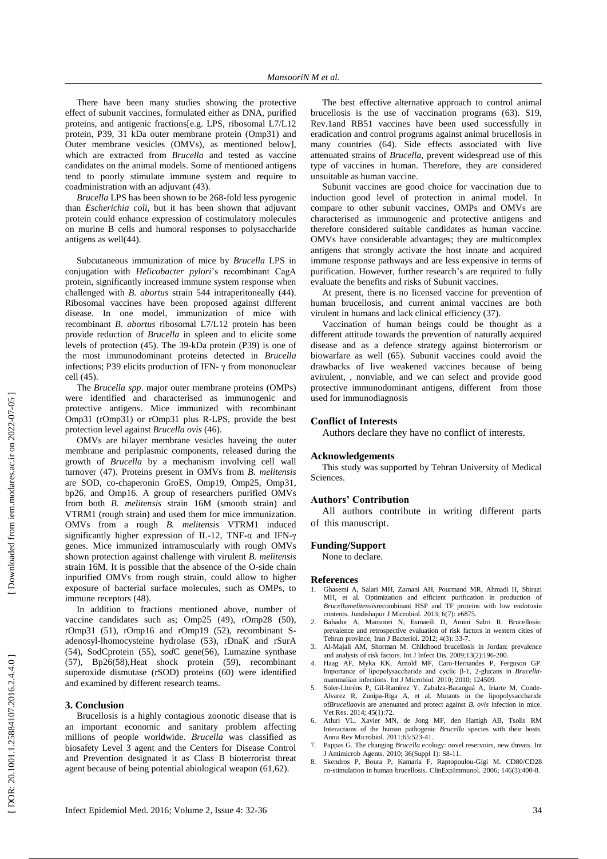There have been many studies showing the protective effect of subunit vaccines, formulated either as DNA, purified proteins, and antigenic fractions [e.g. LPS, ribosomal L7/L12 protein, P39, 31 kDa outer membrane protein ( Omp31 ) and Outer membrane vesicles (OMVs), as mentioned below], which are extracted from *Brucella* and tested as vaccine candidates on the animal models . Some of mentioned antigens tend to poorly stimulate immun e system and require to coadministration with an adjuvant (43).

*Brucella* LPS has been shown to be 268 -fold less pyrogenic than *[Escherichia coli](http://www.google.com/url?sa=t&rct=j&q=&esrc=s&source=web&cd=1&cad=rja&uact=8&ved=0CB8QFjAA&url=http%3A%2F%2Fen.wikipedia.org%2Fwiki%2FEscherichia_coli&ei=VVhuVOa3HcH5ywOl54GABQ&usg=AFQjCNGkbuDupYzhg4R_wZFX-E6wERcuzg)*, but it has been shown that adjuvant protein could enhance expression of costimulatory molecules on murine B cells and humoral responses to polysaccharide antigens as well(44).

Subcutaneous immunization of mice by *Brucella* LPS in conjugation with *Helicobacter pylori*'s recombinant CagA protein, significantly increased immune system response when challenged with *B. abortus* strain 544 intraperitoneally (44). Ribosomal vaccines have been proposed against different disease. In one model, immunization of mice with recombinant *B. abortus* ribosomal L7/L12 protein has been provide reduction of *Brucella* in spleen and to elicite some level s of protection (45). The 39 -kDa protein (P39) is one of the most immunodominant proteins detected in *Brucella* infections; P39 elicits production of IFN - γ from mononuclear cell (45).

The *Brucella spp* . major outer membrane proteins (OMPs) were identified and characterised as immunogenic and protective antigens. Mice immunized with recombinant Omp31 (rOmp31) or rOmp31 plus R -LPS , provide the best protection level against *Brucella ovis* (46).

OMVs are bilayer membrane vesicles haveing the outer membrane and periplasmic components , released during the growth of *Brucella* by a mechanism involving cell wall turnover (47). Proteins present in OMVs from *B. melitensis* are SOD, co -chaperonin GroES, Omp19, Omp25, Omp31, bp26 , and Omp16. A group of researchers purified OMVs from both *B. melitensis* strain 16M (smooth strain) and VTRM1 (rough strain) and used them for mice immunization . OMVs from a rough *B. melitensis* VTRM1 induced significantly higher expression of IL-12, TNF-α and IFN-γ genes. Mice immunized intramuscularly with rough OMVs shown protection against challenge with virulent *B. melitensis*  strain 16M. It is possible that the absence of the O -side chain inpurified OMVs from rough strain, could allow to higher exposure of bacterial surface molecules , such as OMPs, to immune receptors (48) .

In addition to fractions mentioned above, number of vaccine candidates such as; Omp25 (49), rOmp28 (50), rOmp31 (51), rOmp16 and rOmp19 (52), recombinant Sadenosyl -lhomocysteine hydrolase (53), rDnaK and rSurA (54), SodCprotein (55), *sod* C gene (56 ), Lumazine synthase (57), Bp26(58), Heat shock protein (59), recombinant superoxide dismutase ( rSOD) proteins (60 ) were identified and examined by different research teams.

## **3. Conclusion**

Brucellosis is a highly contagious zoonotic disease that is an important economic and sanitary problem affecting millions of people worldwide. *Brucella* was classified as biosafety Level 3 agent and the Centers for Disease Control and Prevention designated it a s Class B bioterrorist threat agent because of being potential abiological weapon (61,62 ) .

The best effective alternative approach to control animal brucellosis is the use of vaccination programs (63). S19, Rev.1and RB51 vaccine s have been used successfully in eradication and control programs against animal brucellosis in many countries ( 64). Side effects associated with live attenuated strains of *Brucella* , prevent widespread use of this type of vaccines in human . Therefore , they are considered unsuitable as human vaccine .

Subunit vaccines are good choice for vaccination due to induction good level of protection in animal model. In compare to other subunit vaccines, OMPs and OMVs are characterised as immunogenic and protective antigens and therefore considered suitable candidates as human vaccine. OMVs have considerable advantages ; they are multicomplex antigens that strongly activate the host innate and acquired immune response pathways and are less expensive in terms of purification . However, further research's are required to fully evaluate the benefits and risks of Subunit vaccines.

At present, there is no licensed vaccine for prevention of human brucellosis, and current animal vaccines are both virulent in humans and lack clinical efficiency (37) .

Vaccination of human beings could be thought as a different attitude towards the prevention of naturally acquired disease and as a defence strategy against bioterrorism or biowarfare as well (65). Subunit vaccines could avoid the drawbacks of live weakened vaccines because of being avirulent, , nonviable, and we can select and provide good protective immunodominant antigens, different from those used for immunodiagnosis

## **Conflict of Interests**

Authors declare they have no conflict of interests.

## **Acknowledgements**

This study was supported by Tehran University of Medical Sciences.

## **Authors' Contribution**

All authors contribute in writing different parts of this manuscript .

### **Funding/Support**

None to declare.

#### **References**

- 1. Ghasemi A, Salari MH, Zarnani AH, Pourmand MR, Ahmadi H, Shirazi MH, et al. Optimization and efficient purification in production of *Brucellamelitensis*recombinant HSP and TF proteins with low endotoxin contents. Jundishapur J Microbiol. 2013; 6(7): e6875.
- 2. Bahador A, Mansoori N, Esmaeili D, Amini Sabri R, Brucellosis: prevalence and retrospective evaluation of risk factors in western cities of Tehran province, Iran J Bacteriol. 2012; 4(3): 33 -7.
- 3. Al -Majali AM, Shorman M. Childhood brucellosis in Jordan: prevalence and analysis of risk factors. Int J Infect Dis. 2009;13(2):196 -200.
- 4. Haag AF, Myka KK, Arnold MF, Caro -Hernandes P, Ferguson GP . Importance of lipopolysaccharide and cyclic β -1, 2 -glucans in *Brucella* mammalian infections. Int J Microbiol. 2010; 2010; 124509.
- 5. Soler-Lloréns P, Gil-Ramírez Y, Zabalza-Baranguá A, Iriarte M, Conde-Alvarez R, Zunipa -Riga A, et al. Mutants in the lipopolysaccharide of*Brucellaovis* are attenuated and protect against *B. ovis* infection in mice. Vet Res. 2014; 45(1):72.
- 6. Atluri VL, Xavier MN, de Jong MF, den Hartigh AB, Tsolis RM Interactions of the human pathogenic *Brucella* species with their hosts. Annu Rev Microbiol. 2011;65:523 -41.
- 7. Pappas G. The changing *Brucella* ecology: novel reservoirs, new threats. Int J Antimicrob Agents. 2010; 36(Suppl 1): S8 -11.
- 8. Skendros P, Boura P, Kamaria F, Raptopoulou -Gigi M. CD80/CD28 co ‐stimulation in human brucellosis. ClinExpImmunol. 2006; 146(3):400 -8.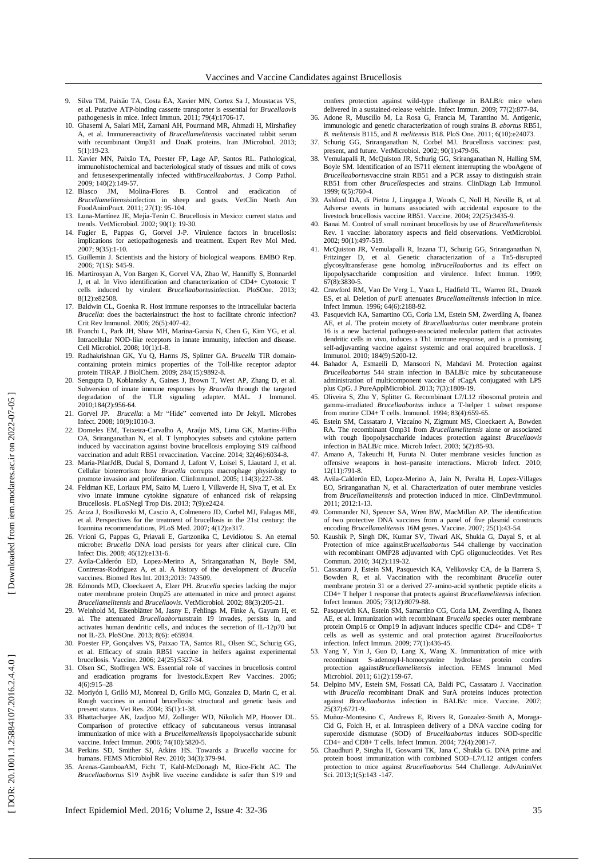DOR: 20.1001.1.25884107.2016.2.4.4.0

- 9. Silva TM, Paixão TA, Costa ÉA, Xavier MN, Cortez Sa J, Moustacas VS, et al. Putative ATP -binding cassette transporter is essential for *Brucellaovis* pathogenesis in mice. Infect Immun. 2011; 79(4):1706 -17.
- 10. Ghasemi A, Salari MH, Zarnani AH, Pourmand MR, Ahmadi H, Mirshafiey A, et al. Immunereactivity of *Brucellamelitensis* vaccinated rabbit serum with recombinant Omp31 and DnaK proteins. Iran JMicrobiol. 2013; 5(1):19 -23.
- 11. Xavier MN, Paixão TA, Poester FP, Lage AP, Santos RL. Pathological, immunohistochemical and bacteriological study of tissues and milk of cows and fetusesexperimentally infected with*Brucellaabortus*. J Comp Pathol. 2009; 140(2):149 -57.
- 12. Blasco JM, Molina -Flores B. Control and eradication of *Brucellamelitensis*infection in sheep and goats. VetClin North Am FoodAnimPract. 2011; 27(1): 95 -104.
- 13. Luna-Martínez JE, Mejía-Terán C. Brucellosis in Mexico: current status and **ʻ** trends. VetMicrobiol. 2002; 90(1): 19 -30.
- 14. Fugier E, Pappas G, Gorvel J -P. Virulence factors in brucellosis: implications for aetiopathogenesis and treatment. Expert Rev Mol Med. 2007; 9(35):1-10.
- 15. Guillemin J. Scientists and the history of biological weapons. EMBO Rep. 2006; 7(1S): S45 -9.
- 16. Martirosyan A, Von Bargen K, Gorvel VA, Zhao W, Hanniffy S, Bonnardel J, et al. In Vivo identification and characterization of CD4+ Cytotoxic T cells induced by virulent *Brucellaabortus*infection. PloSOne. 2013; 8(12):e82508.
- 17. Baldwin CL, Goenka R. Host immune responses to the intracellular bacteria *Brucella*: does the bacteriainstruct the host to facilitate chronic infection? Crit Rev Immunol. 2006; 26(5):407 -42 .
- 18. Franchi L, Park JH, Shaw MH, Marina -Garsia N, Chen G, Kim YG, et al. Intracellular NOD-like receptors in innate immunity, infection and disease. Cell Microbiol. 2008; 10(1):1 -8.
- 19. Radhakrishnan GK, Yu Q, Harms JS, Splitter GA. Brucella TIR domaincontaining protein mimics properties of the Toll -like receptor adaptor protein TIRAP. J BiolChem. 2009; 284(15):9892 -8.
- 20. Sengupta D, Koblansky A, Gaines J, Brown T, West AP, Zhang D, et al. Subversion of innate immune responses by *Brucella* through the targeted degradation of the TLR signaling adapter. MAL. J Immunol. 2010;184(2):956 -64.
- 21. Gorvel JP. *Brucella*: a Mr "Hide" converted into Dr Jekyll. Microbes Infect. 2008; 10(9):1010 -3.
- 22. Dorneles EM, Teixeira -Carvalho A, Araújo MS, Lima GK, Martins -Filho OA, Sriranganathan N, et al. T lymphocytes subsets and cytokine pattern induced by vaccination against bovine brucellosis employing S19 calfhood vaccination and adult RB51 revaccination. Vaccine. 2014; 32(46):6034 -8.
- 23. Maria -PilarJdB, Dudal S, Dornand J, Lafont V, Loisel S, Liautard J, et al. Cellular bioterrorism: how *Brucella* corrupts macrophage physiology to promote invasion and proliferation. ClinImmunol. 2005; 114(3):227 -38.
- 24. Feldman KE, Loriaux PM, Saito M, Luero I, Villaverde H, Siva T, et al. Ex vivo innate immune cytokine signature of enhanced risk of relapsing Brucellosis. PLoSNegl Trop Dis. 2013; 7(9):e2424.
- 25. Ariza J, Bosilkovski M, Cascio A, Colmenero JD, Corbel MJ, Falagas ME, et al. Perspectives for the treatment of brucellosis in the 21st century: the Ioannina recommendations, PLoS Med. 2007; 4(12):e317.
- 26. Vrioni G, Pappas G, Priavali E, Gartzonika C, Levidiotou S. An eternal microbe: *Brucella* DNA load persists for years after clinical cure. Clin Infect Dis. 2008; 46(12):e131 -6.
- 27. Avila -Calderón ED, Lopez -Merino A, Sriranganathan N, Boyle SM, Contreras -Rodriguez A, et al. A history of the development of *Brucella* vaccines. Biomed Res Int. 2013;2013: 743509.
- 28. Edmonds MD, Cloeckaert A, Elzer PH. *Brucella* species lacking the major outer membrane protein Omp25 are attenuated in mice and protect against *Brucellamelitensis* and *Brucellaovis*. VetMicrobiol. 2002; 88(3):205 -21.
- 29. Weinhold M, Eisenblätter M, Jasny E, Fehlings M, Finke A, Gayum H, et al. The attenuated *Brucellaabortus*strain 19 invades, persists in, and activates human dendritic cells, and induces the secretion of IL -12p70 but not IL -23. PloS One. 2013; 8(6): e65934.
- 30. Poester FP, Gonçalves VS, Paixao TA, Santos RL, Olsen SC, Schurig GG, et al. Efficacy of strain RB51 vaccine in heifers against experimental brucellosis. Vaccine. 2006; 24(25):5327 -34.
- 31. Olsen SC, Stoffregen WS. Essential role of vaccines in brucellosis control and eradication programs for livestock.Expert Rev Vaccines. 2005; 4(6):915 –28
- 32. Moriyón I, Grilló MJ, Monreal D, Grillo MG, Gonzalez D, Marin C, et al. Rough vaccines in animal brucellosis: structural and genetic basis and present status. Vet Res. 2004; 35(1):1 -38.
- 33. Bhattacharjee AK, Izadjoo MJ, Zollinger WD, Nikolich MP, Hoover DL. Comparison of protective efficacy of subcutaneous versus intranasal immunization of mice with a *Brucellamelitensis* lipopolysaccharide subunit vaccine. Infect Immun. 2006; 74(10):5820 -5.
- 34. Perkins SD, Smither SJ, Atkins HS. Towards a *Brucella* vaccine for humans. FEMS Microbiol Rev. 2010; 34(3):379 -94.
- 35. Arenas -GamboaAM, Ficht T, Kahl -McDonagh M, Rice -Ficht AC. The *Brucellaabortus* S19 ΔvjbR live vaccine candidate is safer than S19 and

confers protection against wild -type challenge in BALB/c mice when delivered in a sustained-release vehicle. Infect Immun. 2009; 77(2):877-84.

- 36. Adone R, Muscillo M, La Rosa G, Francia M, Tarantino M. Antigenic, immunologic and genetic characterization of rough strains *B. abortus* RB51, *B. melitensi s* B115, and *B. melitensis* B18. PloS One. 2011; 6(10):e24073.
- 37. Schurig GG, Sriranganathan N, Corbel MJ. Brucellosis vaccines: past, present, and future. VetMicrobiol. 2002; 90(1):479 -96.
- 38. Vemulapalli R, McQuiston JR, Schurig GG, Sriranganathan N, Halling SM, Boyle SM. Identification of an IS711 element interrupting the wboAgene of *Brucellaabortus*vaccine strain RB51 and a PCR assay to distinguish strain RB51 from other *Brucella*species and strains. ClinDiagn Lab Immunol. 1999; 6(5):760 -4.
- 39. Ashford DA, di Pietra J, Lingappa J, Woods C, Noll H, Neville B, et al. Adverse events in humans associated with accidental exposure to the livestock brucellosis vaccine RB51. Vaccine. 2004; 22(25):3435 -9.
- 40. Banai M. Control of small ruminant brucellosis by use of *Brucellamelitensis* Rev. 1 vaccine: laboratory aspects and field observations. VetMicrobiol. 2002; 90(1):497 -519.
- 41. McQuiston JR, Vemulapalli R, Inzana TJ, Schurig GG, Sriranganathan N, Fritzinger D, et al. Genetic characterization of a Tn5-disrupted glycosyltransferase gene homolog in*Brucellaabortus* and its effect on lipopolysaccharide composition and virulence. Infect Immun. 1999; 67(8):3830 -5.
- 42. Crawford RM, Van De Verg L, Yuan L, Hadfield TL, Warren RL, Drazek ES, et al. Deletion of *pur*E attenuates *Brucellamelitensis* infection in mice. Infect Immun. 1996; 64(6):2188 -92.
- 43. Pasquevich KA, Samartino CG, Coria LM, Estein SM, Zwerdling A, Ibanez AE, et al. The protein moiety of *Brucellaabortus* outer membrane protein 16 is a new bacterial pathogen -associated molecular pattern that activates dendritic cells in vivo, induces a Th1 immune response, and is a promising self-adjuvanting vaccine against systemic and oral acquired brucellosis. J Immunol. 2010; 184(9):5200 -12.
- 44. Bahador A, Esmaeili D, Mansoori N, Mahdavi M. Protection against *Brucellaabortus* 544 strain infection in BALB/c mice by subcutaneouse administration of multicomponent vaccine of rCagA conjugated with LPS plus CpG. J PureApplMicrobiol. 2013; 7(3):1809 -19.
- 45. Oliveira S, Zhu Y, Splitter G. Recombinant L7/L12 ribosomal protein and gamma -irradiated *Brucellaabortus* induce a T -helper 1 subset response from murine CD4+ T cells. Immunol. 1994; 83(4):659 -65.
- 46. Estein SM, Cassataro J, Vizcaíno N, Zigmunt MS, Cloeckaert A, Bowden RA. The recombinant Omp31 from *Brucellamelitensis* alone or associated with rough lipopolysaccharide induces protection against *Brucellaovis* infection in BALB/c mice. Microb Infect. 2003; 5(2):85 -93.
- 47. Amano A, Takeuchi H, Furuta N. Outer membrane vesicles function as offensive weapons in host–parasite interactions. Microb Infect. 2010; 12(11):791 -8.
- 48. Avila -Calderón ED, Lopez -Merino A, Jain N, Peralta H, Lopez -Villages EO, Sriranganathan N, et al. Characterization of outer membrane vesicles from *Brucellamelitensis* and protection induced in mice. ClinDevImmunol. 2011; 2012:1 -13.
- 49. Commander NJ, Spencer SA, Wren BW, MacMillan AP. The identification of two protective DNA vaccines from a panel of five plasmid constructs encoding *Brucellamelitensis* 16M genes. Vaccine. 2007; 25(1):43 -54.
- 50. Kaushik P, Singh DK, Kumar SV, Tiwari AK, Shukla G, Dayal S, et al. Protection of mice against*Brucellaabortus* 544 challenge by vaccination with recombinant OMP28 adjuvanted with CpG oligonucleotides. Vet Res Commun. 2010; 34(2):119 -32.
- 51. Cassataro J, Estein SM, Pasquevich KA, Velikovsky CA, de la Barrera S, Bowden R, et al. Vaccination with the recombinant *Brucella* outer membrane protein 31 or a derived 27 -amino -acid synthetic peptide elicits a CD4+ T helper 1 response that protects against *Brucellamelitensis* infection. Infect Immun. 2005; 73(12):8079 -88.
- 52. Pasquevich KA, Estein SM, Samartino CG, Coria LM, Zwerdling A, Ibanez AE, et al. Immunization with recombinant *Brucella* species outer membrane protein Omp16 or Omp19 in adjuvant induces specific CD4+ and CD8+ T cells as well as systemic and oral protection against *Brucellaabortus* infection. Infect Immun. 2009; 77(1):436 -45.
- 53. Yang Y, Yin J, Guo D, Lang X, Wang X. Immunization of mice with recombinant S-adenosyl-l-homocysteine hydrolase protein confers<br>protection against*Brucellamelitensis* infection. FEMS Immunol Med Microbiol. 2011; 61(2):159-67.
- 54. Delpino MV, Estein SM, Fossati CA, Baldi PC, Cassataro J. Vaccination with *Brucella* recombinant DnaK and SurA proteins induces protection against *Brucellaabortus* infection in BALB/c mice. Vaccine. 2007; 25(37):6721 -9.
- 55. Muñoz -Montesino C, Andrews E, Rivers R, Gonzalez -Smith A, Moraga Cid G, Folch H, et al. Intraspleen delivery of a DNA vaccine coding for superoxide dismutase (SOD) of *Brucellaabortus* induces SOD -specific CD4+ and CD8+ T cells. Infect Immun. 2004; 72(4):2081 -7.
- 56. Chaudhuri P, Singha H, Goswami TK, Jana C, Shukla G. DNA prime and protein boost immunization with combined SOD –L7/L12 antigen confers protection to mice against *Brucellaabortus* 544 Challenge. AdvAnimVet Sci. 2013;1(5):143 -147.